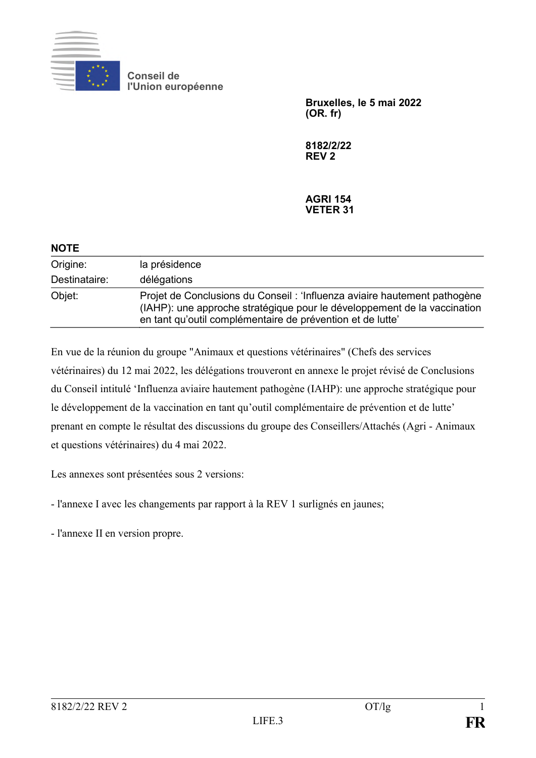

**Conseil de l'Union européenne**

> **Bruxelles, le 5 mai 2022 (OR. fr)**

**8182/2/22 REV 2**

### **AGRI 154 VETER 31**

| <b>NOTE</b>   |                                                                                                                                                                                                                     |
|---------------|---------------------------------------------------------------------------------------------------------------------------------------------------------------------------------------------------------------------|
| Origine:      | la présidence                                                                                                                                                                                                       |
| Destinataire: | délégations                                                                                                                                                                                                         |
| Objet:        | Projet de Conclusions du Conseil : 'Influenza aviaire hautement pathogène<br>(IAHP): une approche stratégique pour le développement de la vaccination<br>en tant qu'outil complémentaire de prévention et de lutte' |

En vue de la réunion du groupe "Animaux et questions vétérinaires" (Chefs des services vétérinaires) du 12 mai 2022, les délégations trouveront en annexe le projet révisé de Conclusions du Conseil intitulé 'Influenza aviaire hautement pathogène (IAHP): une approche stratégique pour le développement de la vaccination en tant qu'outil complémentaire de prévention et de lutte' prenant en compte le résultat des discussions du groupe des Conseillers/Attachés (Agri - Animaux et questions vétérinaires) du 4 mai 2022.

Les annexes sont présentées sous 2 versions:

- l'annexe I avec les changements par rapport à la REV 1 surlignés en jaunes;

- l'annexe II en version propre.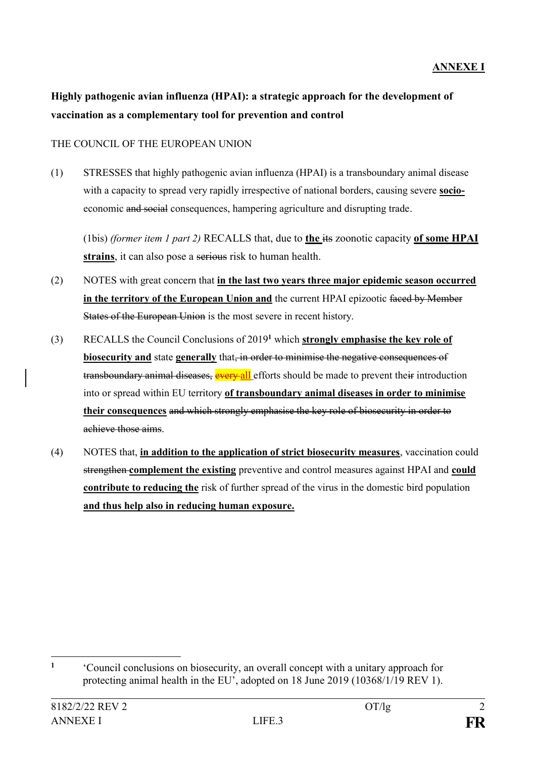# **Highly pathogenic avian influenza (HPAI): a strategic approach for the development of vaccination as a complementary tool for prevention and control**

### THE COUNCIL OF THE EUROPEAN UNION

(1) STRESSES that highly pathogenic avian influenza (HPAI) is a transboundary animal disease with a capacity to spread very rapidly irrespective of national borders, causing severe **socio**economic and social consequences, hampering agriculture and disrupting trade.

(1bis) *(former item 1 part 2)* RECALLS that, due to **the** its zoonotic capacity **of some HPAI strains**, it can also pose a serious risk to human health.

- (2) NOTES with great concern that **in the last two years three major epidemic season occurred in the territory of the European Union and** the current HPAI epizootic faced by Member States of the European Union is the most severe in recent history.
- (3) RECALLS the Council Conclusions of 2019**<sup>1</sup>** which **strongly emphasise the key role of biosecurity and** state **generally** that, in order to minimise the negative consequences of transboundary animal diseases, every all efforts should be made to prevent their introduction into or spread within EU territory **of transboundary animal diseases in order to minimise their consequences** and which strongly emphasise the key role of biosecurity in order to achieve those aims.
- (4) NOTES that, **in addition to the application of strict biosecurity measures**, vaccination could strengthen **complement the existing** preventive and control measures against HPAI and **could contribute to reducing the** risk of further spread of the virus in the domestic bird population **and thus help also in reducing human exposure.**

1

**<sup>1</sup>** 'Council conclusions on biosecurity, an overall concept with a unitary approach for protecting animal health in the EU', adopted on 18 June 2019 (10368/1/19 REV 1).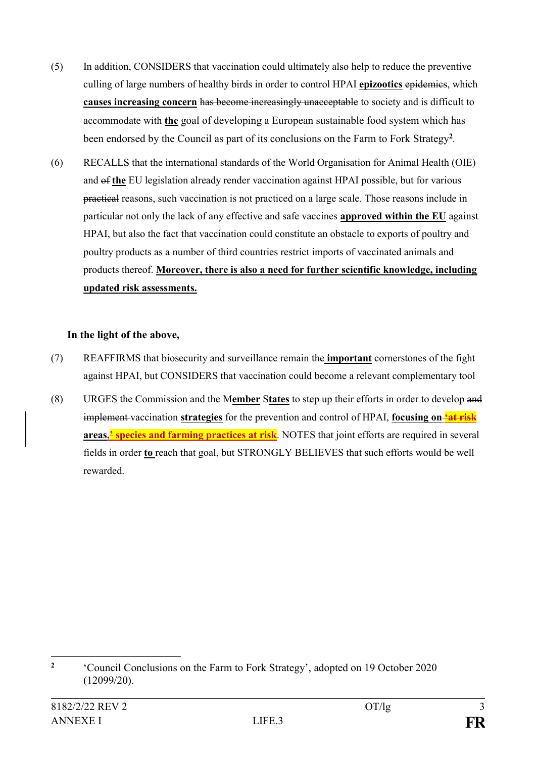- (5) In addition, CONSIDERS that vaccination could ultimately also help to reduce the preventive culling of large numbers of healthy birds in order to control HPAI **epizootics** epidemics, which **causes increasing concern** has become increasingly unacceptable to society and is difficult to accommodate with **the** goal of developing a European sustainable food system which has been endorsed by the Council as part of its conclusions on the Farm to Fork Strategy**<sup>2</sup>** *.*
- (6) RECALLS that the international standards of the World Organisation for Animal Health (OIE) and of **the** EU legislation already render vaccination against HPAI possible, but for various practical reasons, such vaccination is not practiced on a large scale. Those reasons include in particular not only the lack of any effective and safe vaccines **approved within the EU** against HPAI, but also the fact that vaccination could constitute an obstacle to exports of poultry and poultry products as a number of third countries restrict imports of vaccinated animals and products thereof. **Moreover, there is also a need for further scientific knowledge, including updated risk assessments.**

### **In the light of the above,**

- (7) REAFFIRMS that biosecurity and surveillance remain the **important** cornerstones of the fight against HPAI, but CONSIDERS that vaccination could become a relevant complementary tool
- (8) URGES the Commission and the M**ember** S**tates** to step up their efforts in order to develop and implement vaccination **strategies** for the prevention and control of HPAI, **focusing on 'at risk areas,' species and farming practices at risk**. NOTES that joint efforts are required in several fields in order **to** reach that goal, but STRONGLY BELIEVES that such efforts would be well rewarded.

1

**<sup>2</sup>** 'Council Conclusions on the Farm to Fork Strategy', adopted on 19 October 2020 (12099/20).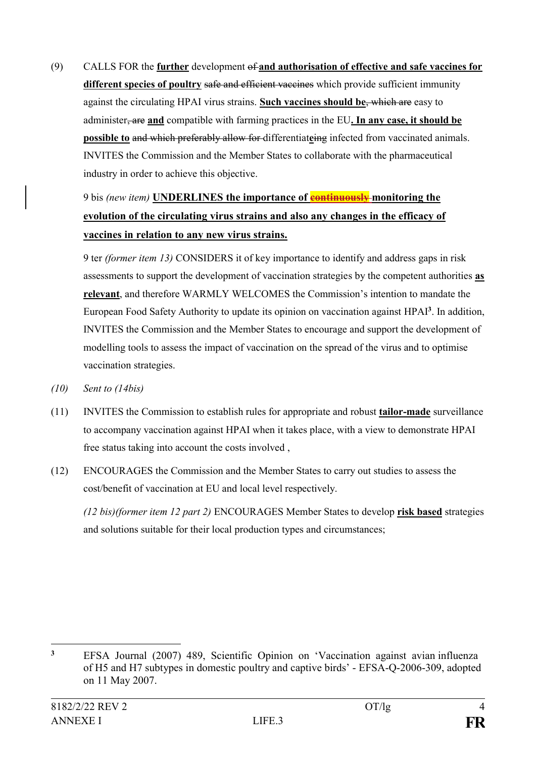(9) CALLS FOR the **further** development of **and authorisation of effective and safe vaccines for**  different species of poultry safe and efficient vaccines which provide sufficient immunity against the circulating HPAI virus strains. **Such vaccines should be**, which are easy to administer, are **and** compatible with farming practices in the EU**. In any case, it should be possible to and which preferably allow for differentiateing infected from vaccinated animals.** INVITES the Commission and the Member States to collaborate with the pharmaceutical industry in order to achieve this objective.

# 9 bis *(new item)* **UNDERLINES the importance of continuously monitoring the evolution of the circulating virus strains and also any changes in the efficacy of vaccines in relation to any new virus strains.**

9 ter *(former item 13)* CONSIDERS it of key importance to identify and address gaps in risk assessments to support the development of vaccination strategies by the competent authorities **as relevant**, and therefore WARMLY WELCOMES the Commission's intention to mandate the European Food Safety Authority to update its opinion on vaccination against HPAI**<sup>3</sup>** . In addition, INVITES the Commission and the Member States to encourage and support the development of modelling tools to assess the impact of vaccination on the spread of the virus and to optimise vaccination strategies.

- *(10) Sent to (14bis)*
- (11) INVITES the Commission to establish rules for appropriate and robust **tailor-made** surveillance to accompany vaccination against HPAI when it takes place, with a view to demonstrate HPAI free status taking into account the costs involved ,
- (12) ENCOURAGES the Commission and the Member States to carry out studies to assess the cost/benefit of vaccination at EU and local level respectively.

*(12 bis)(former item 12 part 2)* ENCOURAGES Member States to develop **risk based** strategies and solutions suitable for their local production types and circumstances;

<sup>1</sup> **<sup>3</sup>** EFSA Journal (2007) 489, Scientific Opinion on 'Vaccination against avian influenza of H5 and H7 subtypes in domestic poultry and captive birds' - EFSA-Q-2006-309, adopted on 11 May 2007.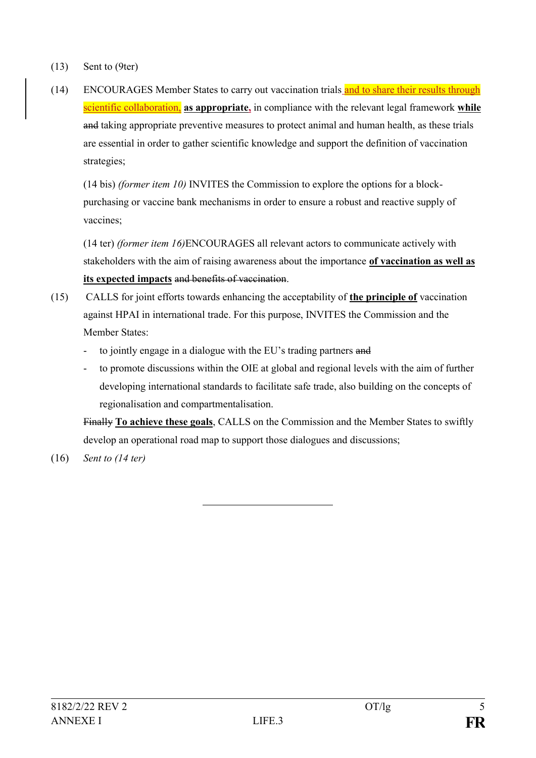- (13) Sent to (9ter)
- (14) ENCOURAGES Member States to carry out vaccination trials and to share their results through scientific collaboration, **as appropriate,** in compliance with the relevant legal framework **while** and taking appropriate preventive measures to protect animal and human health, as these trials are essential in order to gather scientific knowledge and support the definition of vaccination strategies;

(14 bis) *(former item 10)* INVITES the Commission to explore the options for a blockpurchasing or vaccine bank mechanisms in order to ensure a robust and reactive supply of vaccines;

(14 ter) *(former item 16)*ENCOURAGES all relevant actors to communicate actively with stakeholders with the aim of raising awareness about the importance **of vaccination as well as its expected impacts** and benefits of vaccination.

- (15) CALLS for joint efforts towards enhancing the acceptability of **the principle of** vaccination against HPAI in international trade. For this purpose, INVITES the Commission and the Member States:
	- to jointly engage in a dialogue with the EU's trading partners and
	- to promote discussions within the OIE at global and regional levels with the aim of further developing international standards to facilitate safe trade, also building on the concepts of regionalisation and compartmentalisation.

Finally **To achieve these goals**, CALLS on the Commission and the Member States to swiftly develop an operational road map to support those dialogues and discussions;

(16) *Sent to (14 ter)*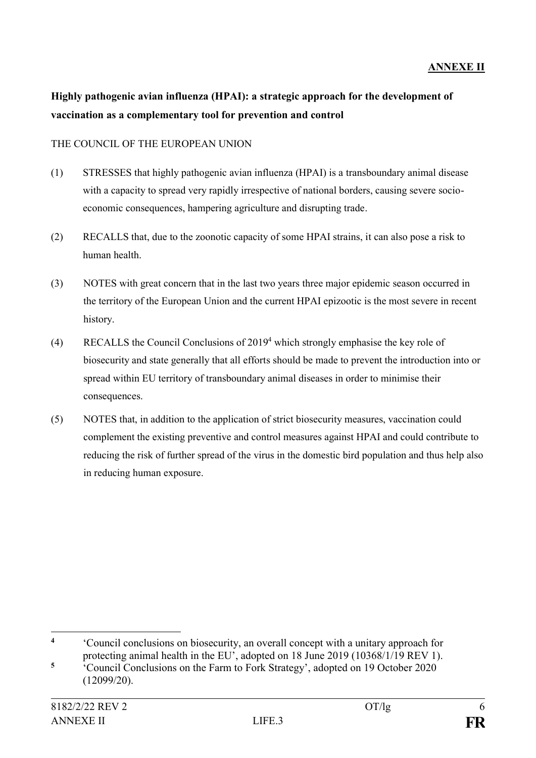## **ANNEXE II**

# **Highly pathogenic avian influenza (HPAI): a strategic approach for the development of vaccination as a complementary tool for prevention and control**

### THE COUNCIL OF THE EUROPEAN UNION

- (1) STRESSES that highly pathogenic avian influenza (HPAI) is a transboundary animal disease with a capacity to spread very rapidly irrespective of national borders, causing severe socioeconomic consequences, hampering agriculture and disrupting trade.
- (2) RECALLS that, due to the zoonotic capacity of some HPAI strains, it can also pose a risk to human health.
- (3) NOTES with great concern that in the last two years three major epidemic season occurred in the territory of the European Union and the current HPAI epizootic is the most severe in recent history.
- (4) RECALLS the Council Conclusions of 2019<sup>4</sup> which strongly emphasise the key role of biosecurity and state generally that all efforts should be made to prevent the introduction into or spread within EU territory of transboundary animal diseases in order to minimise their consequences.
- (5) NOTES that, in addition to the application of strict biosecurity measures, vaccination could complement the existing preventive and control measures against HPAI and could contribute to reducing the risk of further spread of the virus in the domestic bird population and thus help also in reducing human exposure.

<sup>1</sup> **4** 'Council conclusions on biosecurity, an overall concept with a unitary approach for protecting animal health in the EU', adopted on 18 June 2019 (10368/1/19 REV 1).

**<sup>5</sup>** 'Council Conclusions on the Farm to Fork Strategy', adopted on 19 October 2020 (12099/20).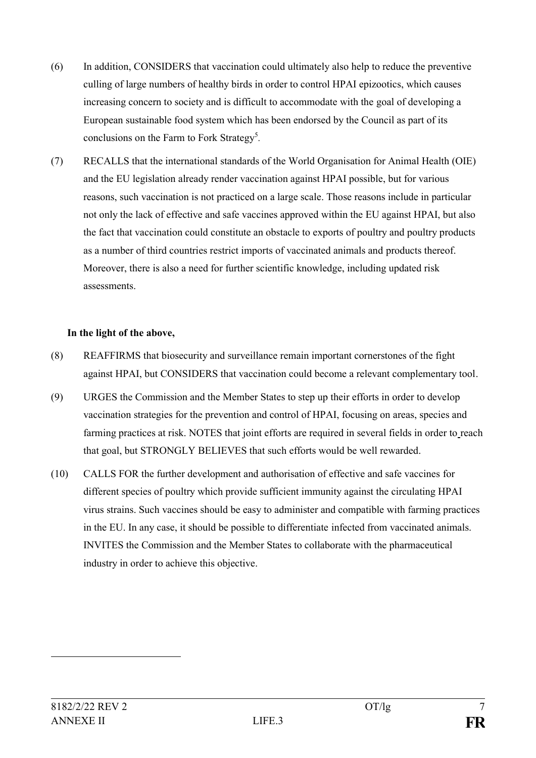- (6) In addition, CONSIDERS that vaccination could ultimately also help to reduce the preventive culling of large numbers of healthy birds in order to control HPAI epizootics, which causes increasing concern to society and is difficult to accommodate with the goal of developing a European sustainable food system which has been endorsed by the Council as part of its conclusions on the Farm to Fork Strategy<sup>5</sup>.
- (7) RECALLS that the international standards of the World Organisation for Animal Health (OIE) and the EU legislation already render vaccination against HPAI possible, but for various reasons, such vaccination is not practiced on a large scale. Those reasons include in particular not only the lack of effective and safe vaccines approved within the EU against HPAI, but also the fact that vaccination could constitute an obstacle to exports of poultry and poultry products as a number of third countries restrict imports of vaccinated animals and products thereof. Moreover, there is also a need for further scientific knowledge, including updated risk assessments.

### **In the light of the above,**

- (8) REAFFIRMS that biosecurity and surveillance remain important cornerstones of the fight against HPAI, but CONSIDERS that vaccination could become a relevant complementary tool.
- (9) URGES the Commission and the Member States to step up their efforts in order to develop vaccination strategies for the prevention and control of HPAI, focusing on areas, species and farming practices at risk. NOTES that joint efforts are required in several fields in order to reach that goal, but STRONGLY BELIEVES that such efforts would be well rewarded.
- (10) CALLS FOR the further development and authorisation of effective and safe vaccines for different species of poultry which provide sufficient immunity against the circulating HPAI virus strains. Such vaccines should be easy to administer and compatible with farming practices in the EU. In any case, it should be possible to differentiate infected from vaccinated animals. INVITES the Commission and the Member States to collaborate with the pharmaceutical industry in order to achieve this objective.

1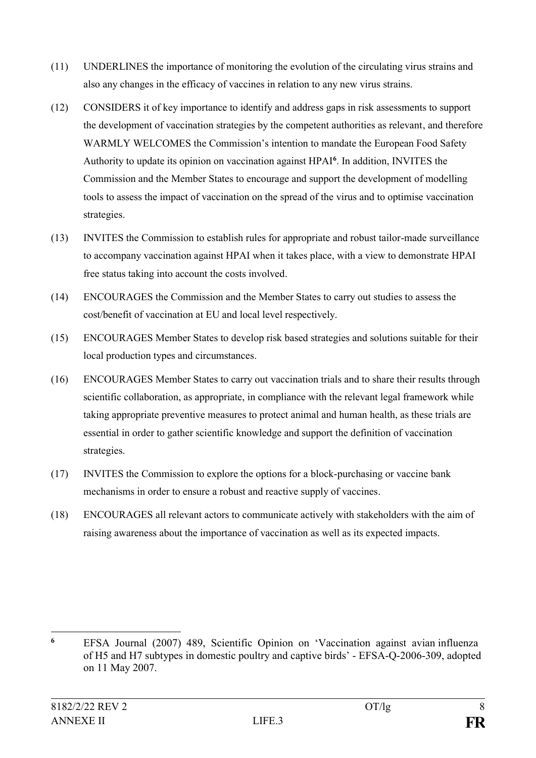- (11) UNDERLINES the importance of monitoring the evolution of the circulating virus strains and also any changes in the efficacy of vaccines in relation to any new virus strains.
- (12) CONSIDERS it of key importance to identify and address gaps in risk assessments to support the development of vaccination strategies by the competent authorities as relevant, and therefore WARMLY WELCOMES the Commission's intention to mandate the European Food Safety Authority to update its opinion on vaccination against HPAI**<sup>6</sup>** . In addition, INVITES the Commission and the Member States to encourage and support the development of modelling tools to assess the impact of vaccination on the spread of the virus and to optimise vaccination strategies.
- (13) INVITES the Commission to establish rules for appropriate and robust tailor-made surveillance to accompany vaccination against HPAI when it takes place, with a view to demonstrate HPAI free status taking into account the costs involved.
- (14) ENCOURAGES the Commission and the Member States to carry out studies to assess the cost/benefit of vaccination at EU and local level respectively.
- (15) ENCOURAGES Member States to develop risk based strategies and solutions suitable for their local production types and circumstances.
- (16) ENCOURAGES Member States to carry out vaccination trials and to share their results through scientific collaboration, as appropriate, in compliance with the relevant legal framework while taking appropriate preventive measures to protect animal and human health, as these trials are essential in order to gather scientific knowledge and support the definition of vaccination strategies.
- (17) INVITES the Commission to explore the options for a block-purchasing or vaccine bank mechanisms in order to ensure a robust and reactive supply of vaccines.
- (18) ENCOURAGES all relevant actors to communicate actively with stakeholders with the aim of raising awareness about the importance of vaccination as well as its expected impacts.

<sup>1</sup> **6** EFSA Journal (2007) 489, Scientific Opinion on 'Vaccination against avian influenza of H5 and H7 subtypes in domestic poultry and captive birds' - EFSA-Q-2006-309, adopted on 11 May 2007.